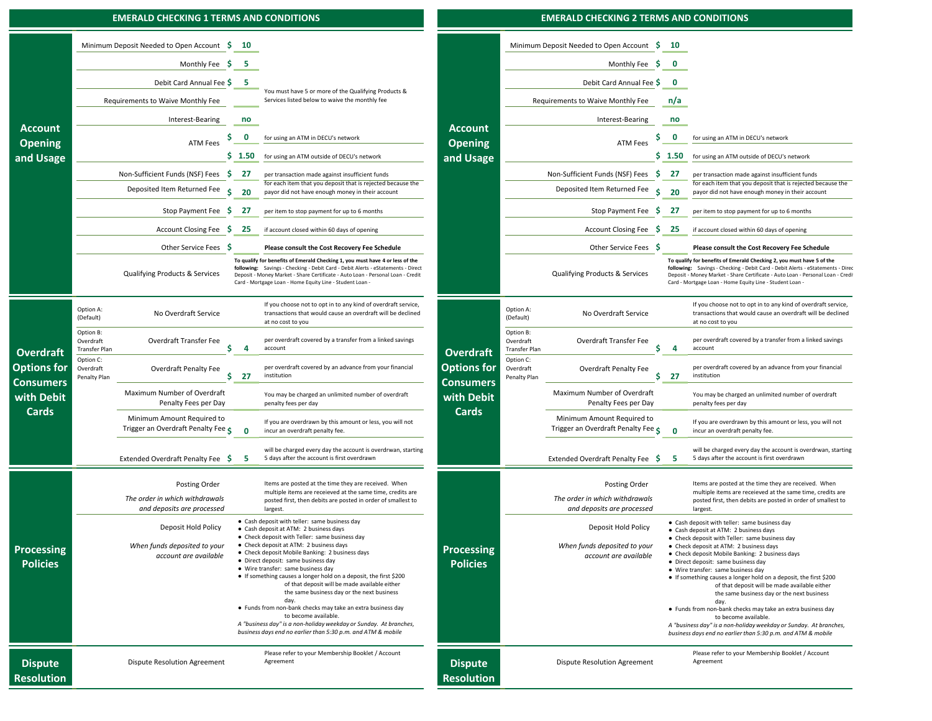#### **EMERALD CHECKING 1 TERMS AND CONDITIONS**

#### **EMERALD CHECKING 2 TERMS AND CONDITIONS**

|                                        | Minimum Deposit Needed to Open Account \$<br>Monthly Fee $\frac{1}{2}$<br>Debit Card Annual Fee \$ 5<br>Requirements to Waive Monthly Fee |                                                                               | 10         |                                                                                                                                                                                                                                                                                                                                                                                                                                                                                                                                                                                                                                                                                                                              |                                                                                          |                                                                                   | Minimum Deposit Needed to Open Account \$                                     |                                                                                                                                                                        | 10           |                                                                                                                                                                                                                                                                                                                                                                                                                                                                                                                                        |
|----------------------------------------|-------------------------------------------------------------------------------------------------------------------------------------------|-------------------------------------------------------------------------------|------------|------------------------------------------------------------------------------------------------------------------------------------------------------------------------------------------------------------------------------------------------------------------------------------------------------------------------------------------------------------------------------------------------------------------------------------------------------------------------------------------------------------------------------------------------------------------------------------------------------------------------------------------------------------------------------------------------------------------------------|------------------------------------------------------------------------------------------|-----------------------------------------------------------------------------------|-------------------------------------------------------------------------------|------------------------------------------------------------------------------------------------------------------------------------------------------------------------|--------------|----------------------------------------------------------------------------------------------------------------------------------------------------------------------------------------------------------------------------------------------------------------------------------------------------------------------------------------------------------------------------------------------------------------------------------------------------------------------------------------------------------------------------------------|
|                                        |                                                                                                                                           |                                                                               | - 5        | You must have 5 or more of the Qualifying Products &<br>Services listed below to waive the monthly fee                                                                                                                                                                                                                                                                                                                                                                                                                                                                                                                                                                                                                       |                                                                                          |                                                                                   | Monthly Fee \$                                                                |                                                                                                                                                                        | 0            |                                                                                                                                                                                                                                                                                                                                                                                                                                                                                                                                        |
|                                        |                                                                                                                                           |                                                                               |            |                                                                                                                                                                                                                                                                                                                                                                                                                                                                                                                                                                                                                                                                                                                              |                                                                                          |                                                                                   | Debit Card Annual Fee \$                                                      |                                                                                                                                                                        | 0            |                                                                                                                                                                                                                                                                                                                                                                                                                                                                                                                                        |
|                                        |                                                                                                                                           |                                                                               |            |                                                                                                                                                                                                                                                                                                                                                                                                                                                                                                                                                                                                                                                                                                                              |                                                                                          |                                                                                   | Requirements to Waive Monthly Fee                                             |                                                                                                                                                                        | n/a          |                                                                                                                                                                                                                                                                                                                                                                                                                                                                                                                                        |
|                                        |                                                                                                                                           | Interest-Bearing                                                              |            |                                                                                                                                                                                                                                                                                                                                                                                                                                                                                                                                                                                                                                                                                                                              |                                                                                          |                                                                                   | Interest-Bearing                                                              |                                                                                                                                                                        | no           |                                                                                                                                                                                                                                                                                                                                                                                                                                                                                                                                        |
| <b>Account</b><br><b>Opening</b>       |                                                                                                                                           | <b>ATM Fees</b>                                                               | 0          | for using an ATM in DECU's network                                                                                                                                                                                                                                                                                                                                                                                                                                                                                                                                                                                                                                                                                           | <b>Account</b><br><b>Opening</b><br>and Usage                                            | S<br><b>ATM Fees</b>                                                              |                                                                               |                                                                                                                                                                        | 0            | for using an ATM in DECU's network                                                                                                                                                                                                                                                                                                                                                                                                                                                                                                     |
| and Usage                              |                                                                                                                                           |                                                                               | $5 \t1.50$ | for using an ATM outside of DECU's network                                                                                                                                                                                                                                                                                                                                                                                                                                                                                                                                                                                                                                                                                   |                                                                                          |                                                                                   |                                                                               | $5 \t1.50$                                                                                                                                                             |              | for using an ATM outside of DECU's network                                                                                                                                                                                                                                                                                                                                                                                                                                                                                             |
|                                        | Non-Sufficient Funds (NSF) Fees \$<br>Deposited Item Returned Fee<br>Stop Payment Fee \$<br><b>Account Closing Fee</b><br>-S              |                                                                               | 27         | per transaction made against insufficient funds<br>for each item that you deposit that is rejected because the<br>payor did not have enough money in their account<br>per item to stop payment for up to 6 months<br>if account closed within 60 days of opening<br>Please consult the Cost Recovery Fee Schedule                                                                                                                                                                                                                                                                                                                                                                                                            |                                                                                          |                                                                                   | Non-Sufficient Funds (NSF) Fees \$                                            |                                                                                                                                                                        | - 27         | per transaction made against insufficient funds                                                                                                                                                                                                                                                                                                                                                                                                                                                                                        |
|                                        |                                                                                                                                           |                                                                               | Ś.<br>20   |                                                                                                                                                                                                                                                                                                                                                                                                                                                                                                                                                                                                                                                                                                                              |                                                                                          | Deposited Item Returned Fee<br>-Ś.                                                |                                                                               |                                                                                                                                                                        | -20          | for each item that you deposit that is rejected beca<br>payor did not have enough money in their account                                                                                                                                                                                                                                                                                                                                                                                                                               |
|                                        |                                                                                                                                           |                                                                               | 27         |                                                                                                                                                                                                                                                                                                                                                                                                                                                                                                                                                                                                                                                                                                                              |                                                                                          |                                                                                   | Stop Payment Fee \$ 27                                                        |                                                                                                                                                                        |              | per item to stop payment for up to 6 months                                                                                                                                                                                                                                                                                                                                                                                                                                                                                            |
|                                        |                                                                                                                                           |                                                                               | -25        |                                                                                                                                                                                                                                                                                                                                                                                                                                                                                                                                                                                                                                                                                                                              |                                                                                          |                                                                                   | Account Closing Fee \$                                                        | - 25                                                                                                                                                                   |              | if account closed within 60 days of opening                                                                                                                                                                                                                                                                                                                                                                                                                                                                                            |
|                                        | Other Service Fees \$                                                                                                                     |                                                                               |            |                                                                                                                                                                                                                                                                                                                                                                                                                                                                                                                                                                                                                                                                                                                              |                                                                                          | Other Service Fees \$                                                             |                                                                               |                                                                                                                                                                        |              | Please consult the Cost Recovery Fee Schedule                                                                                                                                                                                                                                                                                                                                                                                                                                                                                          |
|                                        | Qualifying Products & Services                                                                                                            |                                                                               |            | To qualify for benefits of Emerald Checking 1, you must have 4 or less of the<br>following: Savings - Checking - Debit Card - Debit Alerts - eStatements - Direct<br>Deposit - Money Market - Share Certificate - Auto Loan - Personal Loan - Credit<br>Card - Mortgage Loan - Home Equity Line - Student Loan -                                                                                                                                                                                                                                                                                                                                                                                                             |                                                                                          | Qualifying Products & Services                                                    |                                                                               |                                                                                                                                                                        |              | To qualify for benefits of Emerald Checking 2, you must have 5 of t<br>following: Savings - Checking - Debit Card - Debit Alerts - eStateme<br>Deposit - Money Market - Share Certificate - Auto Loan - Personal Lo<br>Card - Mortgage Loan - Home Equity Line - Student Loan -                                                                                                                                                                                                                                                        |
|                                        | Option A:<br>(Default)                                                                                                                    | No Overdraft Service                                                          |            | If you choose not to opt in to any kind of overdraft service,<br>transactions that would cause an overdraft will be declined<br>at no cost to you                                                                                                                                                                                                                                                                                                                                                                                                                                                                                                                                                                            | <b>Overdraft</b><br><b>Options for</b><br><b>Consumers</b><br>with Debit<br><b>Cards</b> | Option A:<br>(Default)                                                            | No Overdraft Service                                                          |                                                                                                                                                                        |              | If you choose not to opt in to any kind of overdraft<br>transactions that would cause an overdraft will be o<br>at no cost to you                                                                                                                                                                                                                                                                                                                                                                                                      |
| <b>Overdraft</b>                       | Option B:<br>Overdraft<br>Transfer Plan                                                                                                   | Overdraft Transfer Fee                                                        |            | per overdraft covered by a transfer from a linked savings<br>account                                                                                                                                                                                                                                                                                                                                                                                                                                                                                                                                                                                                                                                         |                                                                                          | Option B:<br>Overdraft<br>Transfer Plan<br>Option C:<br>Overdraft<br>Penalty Plan | Overdraft Transfer Fee                                                        |                                                                                                                                                                        |              | per overdraft covered by a transfer from a linked sa<br>account                                                                                                                                                                                                                                                                                                                                                                                                                                                                        |
| <b>Options for</b><br><b>Consumers</b> | Option C:<br>Overdraft<br>Penalty Plan                                                                                                    | Overdraft Penalty Fee                                                         | 27<br>s    | per overdraft covered by an advance from your financial<br>institution                                                                                                                                                                                                                                                                                                                                                                                                                                                                                                                                                                                                                                                       |                                                                                          |                                                                                   | Overdraft Penalty Fee<br>s                                                    |                                                                                                                                                                        | 27           | per overdraft covered by an advance from your fina<br>institution                                                                                                                                                                                                                                                                                                                                                                                                                                                                      |
| with Debit<br><b>Cards</b>             |                                                                                                                                           | Maximum Number of Overdraft<br>Penalty Fees per Day                           |            | You may be charged an unlimited number of overdraft<br>penalty fees per day                                                                                                                                                                                                                                                                                                                                                                                                                                                                                                                                                                                                                                                  |                                                                                          |                                                                                   | Maximum Number of Overdraft<br>Penalty Fees per Day                           |                                                                                                                                                                        |              | You may be charged an unlimited number of overdi<br>penalty fees per day                                                                                                                                                                                                                                                                                                                                                                                                                                                               |
|                                        |                                                                                                                                           | Minimum Amount Required to<br>Trigger an Overdraft Penalty Fee 5              | $\Omega$   | If you are overdrawn by this amount or less, you will not<br>incur an overdraft penalty fee.                                                                                                                                                                                                                                                                                                                                                                                                                                                                                                                                                                                                                                 |                                                                                          |                                                                                   | Minimum Amount Required to<br>Trigger an Overdraft Penalty Fee 5              |                                                                                                                                                                        | $\mathbf{0}$ | If you are overdrawn by this amount or less, you wi<br>incur an overdraft penalty fee.                                                                                                                                                                                                                                                                                                                                                                                                                                                 |
|                                        |                                                                                                                                           | Extended Overdraft Penalty Fee \$                                             | -5         | will be charged every day the account is overdrwan, starting<br>5 days after the account is first overdrawn                                                                                                                                                                                                                                                                                                                                                                                                                                                                                                                                                                                                                  |                                                                                          |                                                                                   | Extended Overdraft Penalty Fee \$                                             |                                                                                                                                                                        | 5            | will be charged every day the account is overdrwan<br>5 days after the account is first overdrawn                                                                                                                                                                                                                                                                                                                                                                                                                                      |
|                                        |                                                                                                                                           | Posting Order<br>The order in which withdrawals<br>and deposits are processed |            | Items are posted at the time they are received. When<br>multiple items are receieved at the same time, credits are<br>posted first, then debits are posted in order of smallest to<br>largest.                                                                                                                                                                                                                                                                                                                                                                                                                                                                                                                               | <b>Processing</b><br><b>Policies</b>                                                     |                                                                                   | Posting Order<br>The order in which withdrawals<br>and deposits are processed |                                                                                                                                                                        |              | Items are posted at the time they are received. Wh<br>multiple items are receieved at the same time, cred<br>posted first, then debits are posted in order of smal<br>largest.                                                                                                                                                                                                                                                                                                                                                         |
| <b>Processing</b><br><b>Policies</b>   | Deposit Hold Policy<br>When funds deposited to your<br>account are available                                                              |                                                                               |            | • Cash deposit with teller: same business day<br>• Cash deposit at ATM: 2 business days<br>• Check deposit with Teller: same business day<br>• Check deposit at ATM: 2 business days<br>• Check deposit Mobile Banking: 2 business days<br>• Direct deposit: same business day<br>· Wire transfer: same business day<br>• If something causes a longer hold on a deposit, the first \$200<br>of that deposit will be made available either<br>the same business day or the next business<br>day.<br>• Funds from non-bank checks may take an extra business day<br>to become available.<br>A "business day" is a non-holiday weekday or Sunday. At branches,<br>business days end no earlier than 5:30 p.m. and ATM & mobile |                                                                                          |                                                                                   | Deposit Hold Policy<br>When funds deposited to your<br>account are available  | • Cash deposit at ATM: 2 business days<br>• Check deposit at ATM: 2 business days<br>· Direct deposit: same business day<br>· Wire transfer: same business day<br>day. |              | • Cash deposit with teller: same business day<br>• Check deposit with Teller: same business day<br>• Check deposit Mobile Banking: 2 business days<br>• If something causes a longer hold on a deposit, the first \$2<br>of that deposit will be made available eithe<br>the same business day or the next business<br>. Funds from non-bank checks may take an extra business d<br>to become available.<br>A "business day" is a non-holiday weekday or Sunday. At bra<br>business days end no earlier than 5:30 p.m. and ATM & mobi. |
| <b>Dispute</b><br><b>Resolution</b>    |                                                                                                                                           | Dispute Resolution Agreement                                                  |            | Please refer to your Membership Booklet / Account<br>Agreement                                                                                                                                                                                                                                                                                                                                                                                                                                                                                                                                                                                                                                                               | <b>Dispute</b><br><b>Resolution</b>                                                      |                                                                                   | <b>Dispute Resolution Agreement</b>                                           |                                                                                                                                                                        |              | Please refer to your Membership Booklet / Account<br>Agreement                                                                                                                                                                                                                                                                                                                                                                                                                                                                         |

|                                     |                                         | Minimum Deposit Needed to Open Account                                                                                  | - S | 10   |                                                                                                                                                                                                                                                                                                         |  |  |  |
|-------------------------------------|-----------------------------------------|-------------------------------------------------------------------------------------------------------------------------|-----|------|---------------------------------------------------------------------------------------------------------------------------------------------------------------------------------------------------------------------------------------------------------------------------------------------------------|--|--|--|
|                                     |                                         | Monthly Fee                                                                                                             | s   | 0    |                                                                                                                                                                                                                                                                                                         |  |  |  |
|                                     |                                         | Debit Card Annual Fee \$                                                                                                |     | 0    |                                                                                                                                                                                                                                                                                                         |  |  |  |
|                                     |                                         | Requirements to Waive Monthly Fee                                                                                       |     | n/a  |                                                                                                                                                                                                                                                                                                         |  |  |  |
|                                     |                                         | Interest-Bearing                                                                                                        |     | no   |                                                                                                                                                                                                                                                                                                         |  |  |  |
| unt<br>ing<br>sage                  |                                         | ATM Fees                                                                                                                | Ş   | 0    | for using an ATM in DECU's network                                                                                                                                                                                                                                                                      |  |  |  |
|                                     |                                         |                                                                                                                         |     | 1.50 | for using an ATM outside of DECU's network                                                                                                                                                                                                                                                              |  |  |  |
|                                     |                                         | Non-Sufficient Funds (NSF) Fees                                                                                         | S   | 27   | per transaction made against insufficient funds                                                                                                                                                                                                                                                         |  |  |  |
|                                     |                                         | Deposited Item Returned Fee                                                                                             | Ś   | 20   | for each item that you deposit that is rejected because the<br>payor did not have enough money in their account                                                                                                                                                                                         |  |  |  |
|                                     |                                         | Stop Payment Fee                                                                                                        | Ş   | 27   | per item to stop payment for up to 6 months                                                                                                                                                                                                                                                             |  |  |  |
|                                     |                                         | <b>Account Closing Fee</b>                                                                                              | s   | 25   | if account closed within 60 days of opening                                                                                                                                                                                                                                                             |  |  |  |
|                                     |                                         | Other Service Fees                                                                                                      | s   |      | <b>Please consult the Cost Recovery Fee Schedule</b>                                                                                                                                                                                                                                                    |  |  |  |
|                                     |                                         | Qualifying Products & Services                                                                                          |     |      | To qualify for benefits of Emerald Checking 2, you must have 5 of the<br>following: Savings - Checking - Debit Card - Debit Alerts - eStatements - Direc<br>Deposit - Money Market - Share Certificate - Auto Loan - Personal Loan - Credit<br>Card - Mortgage Loan - Home Equity Line - Student Loan - |  |  |  |
| raft<br>s for<br>ners<br>ebit<br>ds | Option A:<br>(Default)                  | No Overdraft Service                                                                                                    |     |      | If you choose not to opt in to any kind of overdraft service,<br>transactions that would cause an overdraft will be declined<br>at no cost to you                                                                                                                                                       |  |  |  |
|                                     | Option B:<br>Overdraft<br>Transfer Plan | Overdraft Transfer Fee                                                                                                  |     | 4    | per overdraft covered by a transfer from a linked savings<br>account                                                                                                                                                                                                                                    |  |  |  |
|                                     | Option C:<br>Overdraft<br>Penalty Plan  | Overdraft Penalty Fee                                                                                                   |     | 27   | per overdraft covered by an advance from your financial<br>institution                                                                                                                                                                                                                                  |  |  |  |
|                                     |                                         | Maximum Number of Overdraft<br>Penalty Fees per Day<br>Minimum Amount Required to<br>Trigger an Overdraft Penalty Fee < |     |      | You may be charged an unlimited number of overdraft<br>penalty fees per day                                                                                                                                                                                                                             |  |  |  |
|                                     |                                         |                                                                                                                         |     | 0    | If you are overdrawn by this amount or less, you will not<br>incur an overdraft penalty fee.                                                                                                                                                                                                            |  |  |  |
|                                     |                                         | <b>Extended Overdraft Penalty Fee</b>                                                                                   | Ş   | 5    | will be charged every day the account is overdrwan, starting<br>5 days after the account is first overdrawn                                                                                                                                                                                             |  |  |  |
|                                     |                                         | Posting Order<br>The order in which withdrawals<br>and deposits are processed                                           |     |      | Items are posted at the time they are received. When<br>multiple items are receieved at the same time, credits are<br>posted first, then debits are posted in order of smallest to<br>largest.                                                                                                          |  |  |  |
| sing<br>ies                         |                                         | Deposit Hold Policy                                                                                                     |     |      | • Cash deposit with teller: same business day<br>• Cash deposit at ATM: 2 business days<br>Check deposit with Teller: same business day                                                                                                                                                                 |  |  |  |
|                                     |                                         | When funds deposited to your<br>account are available                                                                   |     |      | • Check deposit at ATM: 2 business days<br>• Check deposit Mobile Banking: 2 business days                                                                                                                                                                                                              |  |  |  |
|                                     |                                         |                                                                                                                         |     |      | Direct deposit: same business day<br>· Wire transfer: same business day<br>• If something causes a longer hold on a deposit, the first \$200<br>of that deposit will be made available either<br>the same business day or the next business                                                             |  |  |  |
|                                     |                                         |                                                                                                                         |     |      | day.<br>• Funds from non-bank checks may take an extra business day<br>to become available.<br>A "business day" is a non-holiday weekday or Sunday. At branches,<br>business days end no earlier than 5:30 p.m. and ATM & mobile                                                                        |  |  |  |
| ıte                                 |                                         | Dispute Resolution Agreement                                                                                            |     |      | Please refer to your Membership Booklet / Account<br>Agreement                                                                                                                                                                                                                                          |  |  |  |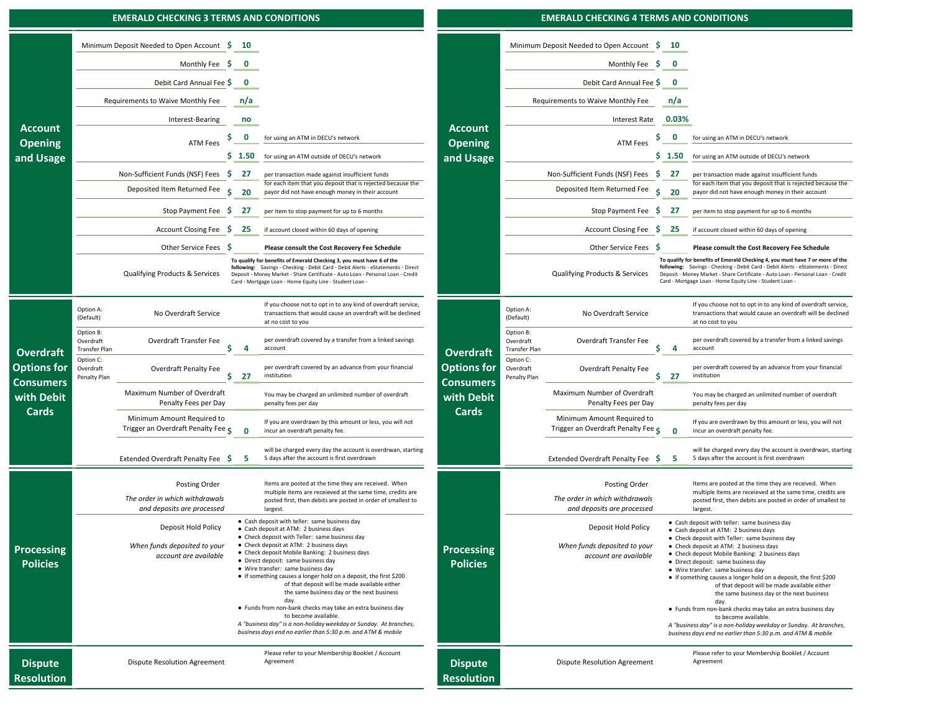#### **\$ 10 \$ 10** Minimum Deposit Needed to Open Account **Internal of the S**  $\bullet$  **D** *D* **D** *D D D D D D D D D D D D D D D D D D D D D D D D D D D D D D D* **\$ 0 \$ 0** Debit Card Annual Fee **n/a n/a** Requirements to Waive Monthly Fee Requirements to Waive Monthly Fee **no**\$ 0 for using an ATM in DECU's network **DECU's network CLASS COMPANITY ATM Fees** \$ 0 for using an ATM in DECU's network **\$ 1.50** for using an ATM outside of DECU's network **\$ 1.50** for using an ATM outside of DECU's network **27** per transaction made against insufficient funds **b 1998 1998 1999 1999 1999 1999 1999 1999 1999 1999 1999 1999 1999 1999 1999 1999 1999 1999 1999 1999 1999 1999 1999 199 Deposited Item Returned Fee** \$ 20 for each item that you deposit that is rejected because the Deposited Item Returned Fee \$20 payor did not have enough money in their account **being a state of the San Account** Deposited Item Returned Fee \$20 for each item that you deposit that is rejected because the payor did not have enough money in their account **EXECUTE AT A PER SECUTE IT A PER SECUTE IT A PER SECUTE IT A PER SECUTE IT A PER SECUTE IT A PER SECUTE IT A PER SECUTE IT A PER SECUTE IT A PER SECUTE IT A PER SECUTE IT A PER SECUTE IT A PER SECUTE IT A PER SECUTE IT A** Account Closing Fee \$25 if account closed within 60 days of opening **by a count closed within 60 days of opening <b>by a count Closing Fee \$25** if account closed within 60 days of opening **\$ Please consult the Cost Recovery Fee Schedule \$ Please consult the Cost Recovery Fee Schedule** Other Service Fees Qualifying Products & Services Deposit ‐ Money Market ‐ Share Certificate ‐ Auto Loan ‐ Personal Loan ‐ Credit Charles Controller Services Auto Loan ‐ Credit Charles Controller Services Auto Loan ‐ Deposit ‐ Money Market ‐ Option A:<br>(Default) No Overdraft Service If you choose not to opt in to any kind of overdraft service, transactions that would cause an overdraft will be declined at no cost to you Option A:<br>(Default) No Overdraft Service If you choose not to opt in to any kind of overdraft service, transactions that would cause an overdraft will be declined at no cost to you Option B: Overdraft Transfer PlanOverdraft Transfer Fee **\$ 4** per overdraft covered by a transfer from a linked savings accountOption B: Overdraft Transfer PlanOverdraft Transfer Fee **\$ 4** per overdraft covered by a transfer from a linked savings accountOption C: Overdraft Penalty Plan Overdraft Penalty Fee **<b>b 27** per overdraft covered by an advance from your financial **institution** Option C: Overdraft Penalty Plan Overdraft Penalty Fee **<b>S** 27 institution **S** 27 *institution* Maximum Number of Overdraft Penalty Fees per Day You may be charged an unlimited number of overdraft penalty fees per day Maximum Number of Overdraft Penalty Fees per Day You may be charged an unlimited number of overdraft penalty fees per day Minimum Amount Required to Trigger an Overdraft Penalty Fee **\$ <sup>0</sup>** If you are overdrawn by this amount or less, you will not incur an overdraft penalty fee. Minimum Amount Required to Trigger an Overdraft Penalty Fee **\$ <sup>0</sup>** If you are overdrawn by this amount or less, you will not incur an overdraft penalty fee. Extended Overdraft Penalty Fee **\$ 5** will be charged every day the account is overdrwan, starting 5 days after the account is first overdrawn Extended Overdraft Penalty Fee **\$ 5** will be charged every day the account is overdrwan, starting 5 days after the account is first overdrawn Posting Order **Department Constant Act of the Second Act of the Second Act of the Second Act of the Second Act of the Second Act of Posting Order Posting Order Posting Order** *The order in which withdrawals and deposits are processed The order in which withdrawals and deposits are processed* Deposit Hold Policy Deposit Hold Policy ● Cash deposit at ATM: 2 business days When funds deposited to your ● Check deposit at ATM: 2 business days **at a contract of the procedure Processing Department of the Municipal Contract of the Municipal Check of the Municipal Check deposited to your** *account are available***account are available**<br>
● Direct deposit: same business day<br>
● Direct deposit: same business day Dispute Resolution Agreement and Agreement and Agreement and Agreement and Agreement and Dispute Resolution Agreement and Agreement and Dispute Resolution Agreement **EMERALD CHECKING 3 TERMS AND CONDITIONS EMERALD CHECKING 4 TERMS AND CONDITIONS Account Opening and Usage** Minimum Deposit Needed to Open Account \$ **Account Communicated Street and Street ATM Fees Communicated Communicates Communicate Communicates** ATM Fees **and Usage** Monthly Fee Monthly Fee Debit Card Annual FeeInterest‐Bearing Interest Rate ATM Fees **Dispute Resolution**Please refer to your Membership Booklet / Account **Dispute Resolution**Please refer to your Membership Booklet / Account Agreement **0.03%**Other Service Fees \$ **Overdraft Options for Consumers with Debit CardsOverdraft Options for Consumers with Debit CardsProcessing Policies**multiple items are receieved at the same time, credits are posted first, then debits are posted in order of smallest to largest. **Processing Policies**per item to stop payment for up to 6 months Non-Sufficient Funds (NSF) Fees \$ Items are posted at the time they are received. When multiple items are receieved at the same time, credits are posted first, then debits are posted in order of smallest to largest. ● Cash deposit with teller: same business day ● Check deposit with Teller: same business day ● Check deposit Mobile Banking: 2 business days ● Wire transfer: same business day ● If something causes a longer hold on a deposit, the first \$200 of that deposit will be made available either the same business day or the next business day. ● Funds from non-bank checks may take an extra business day to become available.*A "business day" is a non‐holiday weekday or Sunday. At branches, business days end no earlier than 5:30 p.m. and ATM & mobile*  ● Cash deposit with teller: same business day ● Cash deposit at ATM: 2 business days ● Check deposit with Teller: same business day ● Check deposit at ATM: 2 business days ● Check deposit Mobile Banking: 2 business days ● Direct deposit: same business day ● Wire transfer: same business day ● If something causes a longer hold on a deposit, the first \$200 of that deposit will be made available either the same business day or the next business day. ● Funds from non-bank checks may take an extra business day to become available. *A "business day" is a non‐holiday weekday or Sunday. At branches, business days end no earlier than 5:30 p.m. and ATM & mobile*  **To qualify for benefits of Emerald Checking 4, you must have 7 or more of the following:** Savings ‐ Checking ‐ Debit Card ‐ Debit Alerts ‐ eStatements ‐ Direct Deposit ‐ Money Market ‐ Share Certificate ‐ Auto Loan ‐ Personal Loan ‐ Credit Card ‐ Mortgage Loan ‐ Home Equity Line ‐ Student Loan ‐ **To qualify for benefits of Emerald Checking 3, you must have 6 of the following:** Savings ‐ Checking ‐ Debit Card ‐ Debit Alerts ‐ eStatements ‐ Direct Card ‐ Mortgage Loan ‐ Home Equity Line ‐ Student Loan ‐